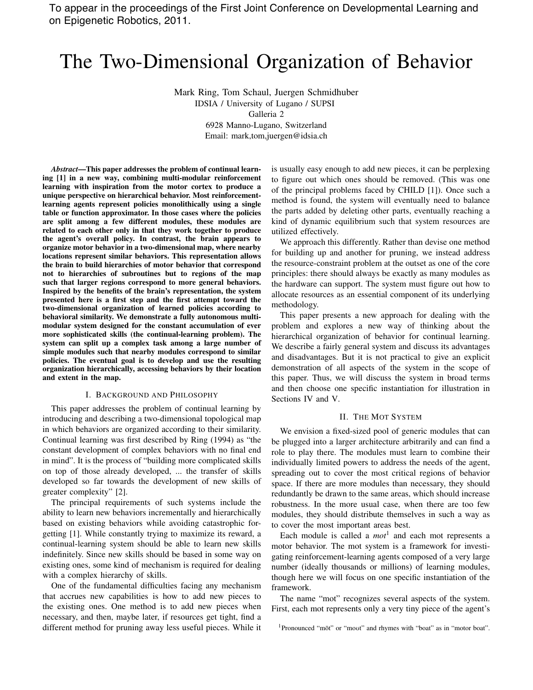To appear in the proceedings of the First Joint Conference on Developmental Learning and on Epigenetic Robotics, 2011.

# The Two-Dimensional Organization of Behavior

Mark Ring, Tom Schaul, Juergen Schmidhuber IDSIA / University of Lugano / SUPSI Galleria 2 6928 Manno-Lugano, Switzerland Email: mark,tom,juergen@idsia.ch

*Abstract*—This paper addresses the problem of continual learning [1] in a new way, combining multi-modular reinforcement learning with inspiration from the motor cortex to produce a unique perspective on hierarchical behavior. Most reinforcementlearning agents represent policies monolithically using a single table or function approximator. In those cases where the policies are split among a few different modules, these modules are related to each other only in that they work together to produce the agent's overall policy. In contrast, the brain appears to organize motor behavior in a two-dimensional map, where nearby locations represent similar behaviors. This representation allows the brain to build hierarchies of motor behavior that correspond not to hierarchies of subroutines but to regions of the map such that larger regions correspond to more general behaviors. Inspired by the benefits of the brain's representation, the system presented here is a first step and the first attempt toward the two-dimensional organization of learned policies according to behavioral similarity. We demonstrate a fully autonomous multimodular system designed for the constant accumulation of ever more sophisticated skills (the continual-learning problem). The system can split up a complex task among a large number of simple modules such that nearby modules correspond to similar policies. The eventual goal is to develop and use the resulting organization hierarchically, accessing behaviors by their location and extent in the map.

#### I. BACKGROUND AND PHILOSOPHY

This paper addresses the problem of continual learning by introducing and describing a two-dimensional topological map in which behaviors are organized according to their similarity. Continual learning was first described by Ring (1994) as "the constant development of complex behaviors with no final end in mind". It is the process of "building more complicated skills on top of those already developed, ... the transfer of skills developed so far towards the development of new skills of greater complexity" [2].

The principal requirements of such systems include the ability to learn new behaviors incrementally and hierarchically based on existing behaviors while avoiding catastrophic forgetting [1]. While constantly trying to maximize its reward, a continual-learning system should be able to learn new skills indefinitely. Since new skills should be based in some way on existing ones, some kind of mechanism is required for dealing with a complex hierarchy of skills.

One of the fundamental difficulties facing any mechanism that accrues new capabilities is how to add new pieces to the existing ones. One method is to add new pieces when necessary, and then, maybe later, if resources get tight, find a different method for pruning away less useful pieces. While it is usually easy enough to add new pieces, it can be perplexing to figure out which ones should be removed. (This was one of the principal problems faced by CHILD [1]). Once such a method is found, the system will eventually need to balance the parts added by deleting other parts, eventually reaching a kind of dynamic equilibrium such that system resources are utilized effectively.

We approach this differently. Rather than devise one method for building up and another for pruning, we instead address the resource-constraint problem at the outset as one of the core principles: there should always be exactly as many modules as the hardware can support. The system must figure out how to allocate resources as an essential component of its underlying methodology.

This paper presents a new approach for dealing with the problem and explores a new way of thinking about the hierarchical organization of behavior for continual learning. We describe a fairly general system and discuss its advantages and disadvantages. But it is not practical to give an explicit demonstration of all aspects of the system in the scope of this paper. Thus, we will discuss the system in broad terms and then choose one specific instantiation for illustration in Sections IV and V.

## II. THE MOT SYSTEM

We envision a fixed-sized pool of generic modules that can be plugged into a larger architecture arbitrarily and can find a role to play there. The modules must learn to combine their individually limited powers to address the needs of the agent, spreading out to cover the most critical regions of behavior space. If there are more modules than necessary, they should redundantly be drawn to the same areas, which should increase robustness. In the more usual case, when there are too few modules, they should distribute themselves in such a way as to cover the most important areas best.

Each module is called a  $mot<sup>1</sup>$  and each mot represents a motor behavior. The mot system is a framework for investigating reinforcement-learning agents composed of a very large number (ideally thousands or millions) of learning modules, though here we will focus on one specific instantiation of the framework.

The name "mot" recognizes several aspects of the system. First, each mot represents only a very tiny piece of the agent's

<sup>&</sup>lt;sup>1</sup>Pronounced "mot" or "moot" and rhymes with "boat" as in "motor boat".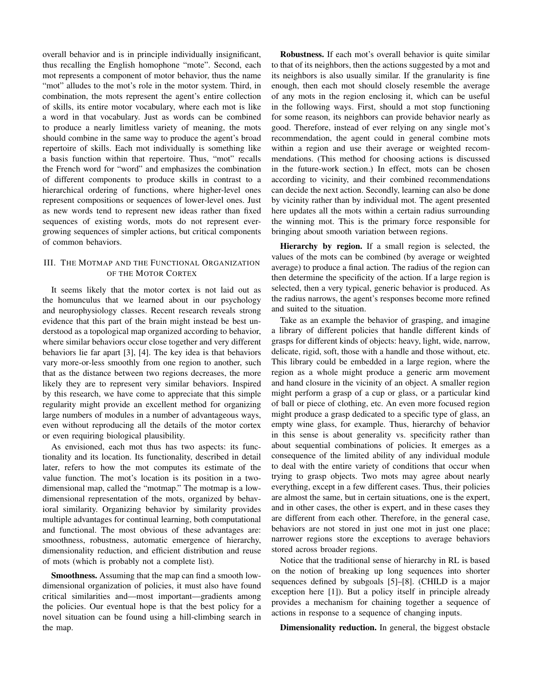overall behavior and is in principle individually insignificant, thus recalling the English homophone "mote". Second, each mot represents a component of motor behavior, thus the name "mot" alludes to the mot's role in the motor system. Third, in combination, the mots represent the agent's entire collection of skills, its entire motor vocabulary, where each mot is like a word in that vocabulary. Just as words can be combined to produce a nearly limitless variety of meaning, the mots should combine in the same way to produce the agent's broad repertoire of skills. Each mot individually is something like a basis function within that repertoire. Thus, "mot" recalls the French word for "word" and emphasizes the combination of different components to produce skills in contrast to a hierarchical ordering of functions, where higher-level ones represent compositions or sequences of lower-level ones. Just as new words tend to represent new ideas rather than fixed sequences of existing words, mots do not represent evergrowing sequences of simpler actions, but critical components of common behaviors.

## III. THE MOTMAP AND THE FUNCTIONAL ORGANIZATION OF THE MOTOR CORTEX

It seems likely that the motor cortex is not laid out as the homunculus that we learned about in our psychology and neurophysiology classes. Recent research reveals strong evidence that this part of the brain might instead be best understood as a topological map organized according to behavior, where similar behaviors occur close together and very different behaviors lie far apart [3], [4]. The key idea is that behaviors vary more-or-less smoothly from one region to another, such that as the distance between two regions decreases, the more likely they are to represent very similar behaviors. Inspired by this research, we have come to appreciate that this simple regularity might provide an excellent method for organizing large numbers of modules in a number of advantageous ways, even without reproducing all the details of the motor cortex or even requiring biological plausibility.

As envisioned, each mot thus has two aspects: its functionality and its location. Its functionality, described in detail later, refers to how the mot computes its estimate of the value function. The mot's location is its position in a twodimensional map, called the "motmap." The motmap is a lowdimensional representation of the mots, organized by behavioral similarity. Organizing behavior by similarity provides multiple advantages for continual learning, both computational and functional. The most obvious of these advantages are: smoothness, robustness, automatic emergence of hierarchy, dimensionality reduction, and efficient distribution and reuse of mots (which is probably not a complete list).

Smoothness. Assuming that the map can find a smooth lowdimensional organization of policies, it must also have found critical similarities and—most important—gradients among the policies. Our eventual hope is that the best policy for a novel situation can be found using a hill-climbing search in the map.

Robustness. If each mot's overall behavior is quite similar to that of its neighbors, then the actions suggested by a mot and its neighbors is also usually similar. If the granularity is fine enough, then each mot should closely resemble the average of any mots in the region enclosing it, which can be useful in the following ways. First, should a mot stop functioning for some reason, its neighbors can provide behavior nearly as good. Therefore, instead of ever relying on any single mot's recommendation, the agent could in general combine mots within a region and use their average or weighted recommendations. (This method for choosing actions is discussed in the future-work section.) In effect, mots can be chosen according to vicinity, and their combined recommendations can decide the next action. Secondly, learning can also be done by vicinity rather than by individual mot. The agent presented here updates all the mots within a certain radius surrounding the winning mot. This is the primary force responsible for bringing about smooth variation between regions.

Hierarchy by region. If a small region is selected, the values of the mots can be combined (by average or weighted average) to produce a final action. The radius of the region can then determine the specificity of the action. If a large region is selected, then a very typical, generic behavior is produced. As the radius narrows, the agent's responses become more refined and suited to the situation.

Take as an example the behavior of grasping, and imagine a library of different policies that handle different kinds of grasps for different kinds of objects: heavy, light, wide, narrow, delicate, rigid, soft, those with a handle and those without, etc. This library could be embedded in a large region, where the region as a whole might produce a generic arm movement and hand closure in the vicinity of an object. A smaller region might perform a grasp of a cup or glass, or a particular kind of ball or piece of clothing, etc. An even more focused region might produce a grasp dedicated to a specific type of glass, an empty wine glass, for example. Thus, hierarchy of behavior in this sense is about generality vs. specificity rather than about sequential combinations of policies. It emerges as a consequence of the limited ability of any individual module to deal with the entire variety of conditions that occur when trying to grasp objects. Two mots may agree about nearly everything, except in a few different cases. Thus, their policies are almost the same, but in certain situations, one is the expert, and in other cases, the other is expert, and in these cases they are different from each other. Therefore, in the general case, behaviors are not stored in just one mot in just one place; narrower regions store the exceptions to average behaviors stored across broader regions.

Notice that the traditional sense of hierarchy in RL is based on the notion of breaking up long sequences into shorter sequences defined by subgoals [5]–[8]. (CHILD is a major exception here [1]). But a policy itself in principle already provides a mechanism for chaining together a sequence of actions in response to a sequence of changing inputs.

Dimensionality reduction. In general, the biggest obstacle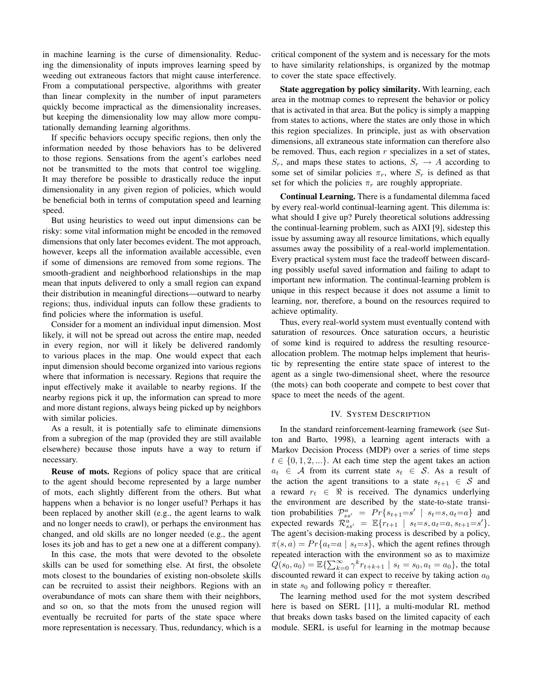in machine learning is the curse of dimensionality. Reducing the dimensionality of inputs improves learning speed by weeding out extraneous factors that might cause interference. From a computational perspective, algorithms with greater than linear complexity in the number of input parameters quickly become impractical as the dimensionality increases, but keeping the dimensionality low may allow more computationally demanding learning algorithms.

If specific behaviors occupy specific regions, then only the information needed by those behaviors has to be delivered to those regions. Sensations from the agent's earlobes need not be transmitted to the mots that control toe wiggling. It may therefore be possible to drastically reduce the input dimensionality in any given region of policies, which would be beneficial both in terms of computation speed and learning speed.

But using heuristics to weed out input dimensions can be risky: some vital information might be encoded in the removed dimensions that only later becomes evident. The mot approach, however, keeps all the information available accessible, even if some of dimensions are removed from some regions. The smooth-gradient and neighborhood relationships in the map mean that inputs delivered to only a small region can expand their distribution in meaningful directions—outward to nearby regions; thus, individual inputs can follow these gradients to find policies where the information is useful.

Consider for a moment an individual input dimension. Most likely, it will not be spread out across the entire map, needed in every region, nor will it likely be delivered randomly to various places in the map. One would expect that each input dimension should become organized into various regions where that information is necessary. Regions that require the input effectively make it available to nearby regions. If the nearby regions pick it up, the information can spread to more and more distant regions, always being picked up by neighbors with similar policies.

As a result, it is potentially safe to eliminate dimensions from a subregion of the map (provided they are still available elsewhere) because those inputs have a way to return if necessary.

Reuse of mots. Regions of policy space that are critical to the agent should become represented by a large number of mots, each slightly different from the others. But what happens when a behavior is no longer useful? Perhaps it has been replaced by another skill (e.g., the agent learns to walk and no longer needs to crawl), or perhaps the environment has changed, and old skills are no longer needed (e.g., the agent loses its job and has to get a new one at a different company).

In this case, the mots that were devoted to the obsolete skills can be used for something else. At first, the obsolete mots closest to the boundaries of existing non-obsolete skills can be recruited to assist their neighbors. Regions with an overabundance of mots can share them with their neighbors, and so on, so that the mots from the unused region will eventually be recruited for parts of the state space where more representation is necessary. Thus, redundancy, which is a critical component of the system and is necessary for the mots to have similarity relationships, is organized by the motmap to cover the state space effectively.

State aggregation by policy similarity. With learning, each area in the motmap comes to represent the behavior or policy that is activated in that area. But the policy is simply a mapping from states to actions, where the states are only those in which this region specializes. In principle, just as with observation dimensions, all extraneous state information can therefore also be removed. Thus, each region  $r$  specializes in a set of states,  $S_r$ , and maps these states to actions,  $S_r \rightarrow A$  according to some set of similar policies  $\pi_r$ , where  $S_r$  is defined as that set for which the policies  $\pi_r$  are roughly appropriate.

Continual Learning. There is a fundamental dilemma faced by every real-world continual-learning agent. This dilemma is: what should I give up? Purely theoretical solutions addressing the continual-learning problem, such as AIXI [9], sidestep this issue by assuming away all resource limitations, which equally assumes away the possibility of a real-world implementation. Every practical system must face the tradeoff between discarding possibly useful saved information and failing to adapt to important new information. The continual-learning problem is unique in this respect because it does not assume a limit to learning, nor, therefore, a bound on the resources required to achieve optimality.

Thus, every real-world system must eventually contend with saturation of resources. Once saturation occurs, a heuristic of some kind is required to address the resulting resourceallocation problem. The motmap helps implement that heuristic by representing the entire state space of interest to the agent as a single two-dimensional sheet, where the resource (the mots) can both cooperate and compete to best cover that space to meet the needs of the agent.

#### IV. SYSTEM DESCRIPTION

In the standard reinforcement-learning framework (see Sutton and Barto, 1998), a learning agent interacts with a Markov Decision Process (MDP) over a series of time steps  $t \in \{0, 1, 2, ...\}$ . At each time step the agent takes an action  $a_t \in \mathcal{A}$  from its current state  $s_t \in \mathcal{S}$ . As a result of the action the agent transitions to a state  $s_{t+1} \in S$  and a reward  $r_t \in \Re$  is received. The dynamics underlying the environment are described by the state-to-state transition probabilities  $\mathcal{P}_{ss'}^a = Pr\{s_{t+1}=s' \mid s_t=s, a_t=a\}$  and expected rewards  $\mathcal{R}_{ss'}^a = \mathbb{E}\lbrace r_{t+1} \mid s_t = s, a_t = a, s_{t+1} = s'\rbrace.$ The agent's decision-making process is described by a policy,  $\pi(s, a) = Pr\{a_t = a \mid s_t = s\}$ , which the agent refines through repeated interaction with the environment so as to maximize  $Q(s_0, a_0) = \mathbb{E}\left\{\sum_{k=0}^{\infty} \gamma^k r_{t+k+1} \mid s_t = s_0, a_t = a_0\right\}$ , the total discounted reward it can expect to receive by taking action  $a_0$ in state  $s_0$  and following policy  $\pi$  thereafter.

The learning method used for the mot system described here is based on SERL [11], a multi-modular RL method that breaks down tasks based on the limited capacity of each module. SERL is useful for learning in the motmap because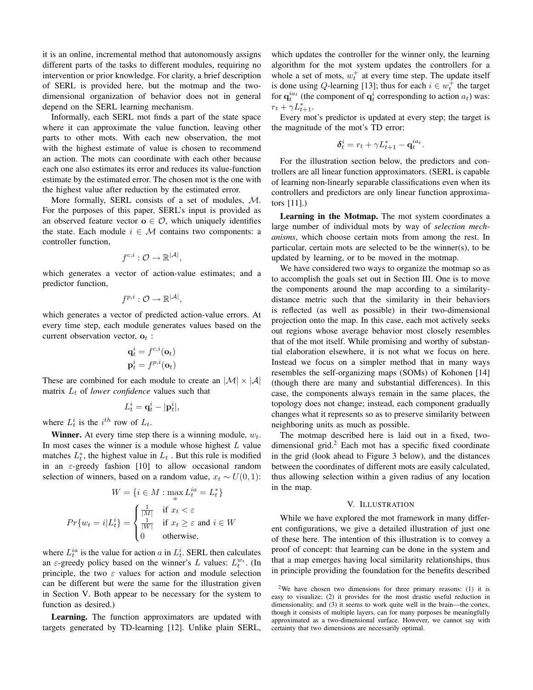it is an online, incremental method that autonomously assigns different parts of the tasks to different modules, requiring no intervention or prior knowledge. For clarity, a brief description of SERL is provided here, but the motmap and the twodimensional organization of behavior does not in general depend on the SERL learning mechanism.

Informally, each SERL mot finds a part of the state space where it can approximate the value function, leaving other parts to other mots. With each new observation, the mot with the highest estimate of value is chosen to recommend an action. The mots can coordinate with each other because each one also estimates its error and reduces its value-function estimate by the estimated error. The chosen mot is the one with the highest value after reduction by the estimated error.

More formally, SERL consists of a set of modules, M. For the purposes of this paper, SERL's input is provided as an observed feature vector  $o \in \mathcal{O}$ , which uniquely identifies the state. Each module  $i \in \mathcal{M}$  contains two components: a controller function,

$$
f^{c,i}: \mathcal{O} \to \mathbb{R}^{|\mathcal{A}|},
$$

which generates a vector of action-value estimates; and a predictor function,

$$
f^{p,i}: \mathcal{O} \to \mathbb{R}^{|\mathcal{A}|},
$$

which generates a vector of predicted action-value errors. At every time step, each module generates values based on the current observation vector, o*<sup>t</sup>* :

$$
\mathbf{q}_t^i = f^{c,i}(\mathbf{o}_t)
$$
  

$$
\mathbf{p}_t^i = f^{p,i}(\mathbf{o}_t)
$$

These are combined for each module to create an  $|\mathcal{M}| \times |\mathcal{A}|$ matrix L*<sup>t</sup>* of *lower confidence* values such that

$$
L_t^i = \mathbf{q}_t^i - |\mathbf{p}_t^i|,
$$

where  $L_t^i$  is the  $i^{th}$  row of  $L_t$ .

Winner. At every time step there is a winning module, w*t*. In most cases the winner is a module whose highest  $L$  value matches  $L_t^*$ , the highest value in  $L_t$ . But this rule is modified in an  $\varepsilon$ -greedy fashion [10] to allow occasional random selection of winners, based on a random value,  $x_t \sim U(0, 1)$ :

$$
W = \{i \in M : \max_{a} L_t^{ia} = L_t^*\}
$$

$$
Pr\{w_t = i | L_t^i\} = \begin{cases} \frac{1}{|M|} & \text{if } x_t < \varepsilon \\ \frac{1}{|W|} & \text{if } x_t \ge \varepsilon \text{ and } i \in W \\ 0 & \text{otherwise,} \end{cases}
$$

where  $L_t^{ia}$  is the value for action a in  $L_t^i$ . SERL then calculates an  $\varepsilon$ -greedy policy based on the winner's L values:  $L_t^{w_t}$ . (In principle, the two  $\varepsilon$  values for action and module selection can be different but were the same for the illustration given in Section V. Both appear to be necessary for the system to function as desired.)

Learning. The function approximators are updated with targets generated by TD-learning [12]. Unlike plain SERL, which updates the controller for the winner only, the learning algorithm for the mot system updates the controllers for a whole a set of mots,  $w_t^+$  at every time step. The update itself is done using Q-learning [13]; thus for each  $i \in w_t^+$  the target for  $\mathbf{q}_t^{ia_t}$  (the component of  $\mathbf{q}_t^i$  corresponding to action  $a_t$ ) was:  $r_t + \gamma L_{t+1}^*$ .

Every mot's predictor is updated at every step; the target is the magnitude of the mot's TD error:

$$
\boldsymbol{\delta}_t^i = r_t + \gamma L_{t+1}^* - \mathbf{q}_t^{ia_t}.
$$

For the illustration section below, the predictors and controllers are all linear function approximators. (SERL is capable of learning non-linearly separable classifications even when its controllers and predictors are only linear function approximators [11].)

Learning in the Motmap. The mot system coordinates a large number of individual mots by way of *selection mechanisms*, which choose certain mots from among the rest. In particular, certain mots are selected to be the winner(s), to be updated by learning, or to be moved in the motmap.

We have considered two ways to organize the motmap so as to accomplish the goals set out in Section III. One is to move the components around the map according to a similaritydistance metric such that the similarity in their behaviors is reflected (as well as possible) in their two-dimensional projection onto the map. In this case, each mot actively seeks out regions whose average behavior most closely resembles that of the mot itself. While promising and worthy of substantial elaboration elsewhere, it is not what we focus on here. Instead we focus on a simpler method that in many ways resembles the self-organizing maps (SOMs) of Kohonen [14] (though there are many and substantial differences). In this case, the components always remain in the same places, the topology does not change; instead, each component gradually changes what it represents so as to preserve similarity between neighboring units as much as possible.

The motmap described here is laid out in a fixed, twodimensional grid.<sup>2</sup> Each mot has a specific fixed coordinate in the grid (look ahead to Figure 3 below), and the distances between the coordinates of different mots are easily calculated, thus allowing selection within a given radius of any location in the map.

## V. ILLUSTRATION

While we have explored the mot framework in many different configurations, we give a detailed illustration of just one of these here. The intention of this illustration is to convey a proof of concept: that learning can be done in the system and that a map emerges having local similarity relationships, thus in principle providing the foundation for the benefits described

<sup>&</sup>lt;sup>2</sup>We have chosen two dimensions for three primary reasons: (1) it is easy to visualize; (2) it provides for the most drastic useful reduction in dimensionality, and (3) it seems to work quite well in the brain—the cortex, though it consists of multiple layers, can for many purposes be meaningfully approximated as a two-dimensional surface. However, we cannot say with certainty that two dimensions are necessarily optimal.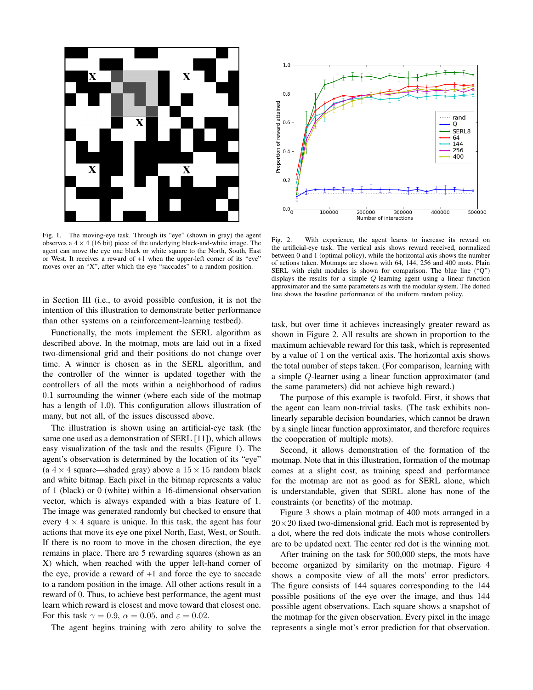

Fig. 1. The moving-eye task. Through its "eye" (shown in gray) the agent observes a  $4 \times 4$  (16 bit) piece of the underlying black-and-white image. The agent can move the eye one black or white square to the North, South, East or West. It receives a reward of +1 when the upper-left corner of its "eye" moves over an "X", after which the eye "saccades" to a random position.

in Section III (i.e., to avoid possible confusion, it is not the intention of this illustration to demonstrate better performance than other systems on a reinforcement-learning testbed).

Functionally, the mots implement the SERL algorithm as described above. In the motmap, mots are laid out in a fixed two-dimensional grid and their positions do not change over time. A winner is chosen as in the SERL algorithm, and the controller of the winner is updated together with the controllers of all the mots within a neighborhood of radius 0.1 surrounding the winner (where each side of the motmap has a length of 1.0). This configuration allows illustration of many, but not all, of the issues discussed above.

The illustration is shown using an artificial-eye task (the same one used as a demonstration of SERL [11]), which allows easy visualization of the task and the results (Figure 1). The agent's observation is determined by the location of its "eye" (a  $4 \times 4$  square—shaded gray) above a  $15 \times 15$  random black and white bitmap. Each pixel in the bitmap represents a value of 1 (black) or 0 (white) within a 16-dimensional observation vector, which is always expanded with a bias feature of 1. The image was generated randomly but checked to ensure that every  $4 \times 4$  square is unique. In this task, the agent has four actions that move its eye one pixel North, East, West, or South. If there is no room to move in the chosen direction, the eye remains in place. There are 5 rewarding squares (shown as an X) which, when reached with the upper left-hand corner of the eye, provide a reward of +1 and force the eye to saccade to a random position in the image. All other actions result in a reward of 0. Thus, to achieve best performance, the agent must learn which reward is closest and move toward that closest one. For this task  $\gamma = 0.9$ ,  $\alpha = 0.05$ , and  $\varepsilon = 0.02$ .

The agent begins training with zero ability to solve the



Fig. 2. With experience, the agent learns to increase its reward on the artificial-eye task. The vertical axis shows reward received, normalized between 0 and 1 (optimal policy), while the horizontal axis shows the number of actions taken. Motmaps are shown with 64, 144, 256 and 400 mots. Plain SERL with eight modules is shown for comparison. The blue line ("Q") displays the results for a simple *Q*-learning agent using a linear function approximator and the same parameters as with the modular system. The dotted line shows the baseline performance of the uniform random policy.

task, but over time it achieves increasingly greater reward as shown in Figure 2. All results are shown in proportion to the maximum achievable reward for this task, which is represented by a value of 1 on the vertical axis. The horizontal axis shows the total number of steps taken. (For comparison, learning with a simple Q-learner using a linear function approximator (and the same parameters) did not achieve high reward.)

The purpose of this example is twofold. First, it shows that the agent can learn non-trivial tasks. (The task exhibits nonlinearly separable decision boundaries, which cannot be drawn by a single linear function approximator, and therefore requires the cooperation of multiple mots).

Second, it allows demonstration of the formation of the motmap. Note that in this illustration, formation of the motmap comes at a slight cost, as training speed and performance for the motmap are not as good as for SERL alone, which is understandable, given that SERL alone has none of the constraints (or benefits) of the motmap.

Figure 3 shows a plain motmap of 400 mots arranged in a  $20\times20$  fixed two-dimensional grid. Each mot is represented by a dot, where the red dots indicate the mots whose controllers are to be updated next. The center red dot is the winning mot.

After training on the task for 500,000 steps, the mots have become organized by similarity on the motmap. Figure 4 shows a composite view of all the mots' error predictors. The figure consists of 144 squares corresponding to the 144 possible positions of the eye over the image, and thus 144 possible agent observations. Each square shows a snapshot of the motmap for the given observation. Every pixel in the image represents a single mot's error prediction for that observation.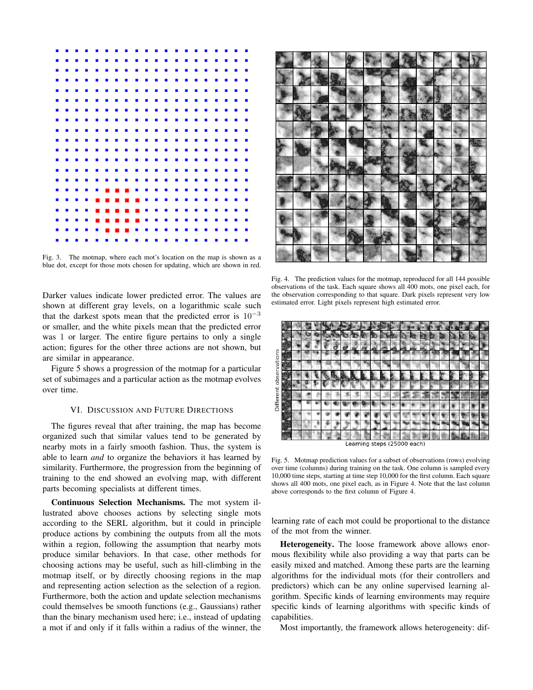

Fig. 3. The motmap, where each mot's location on the map is shown as a blue dot, except for those mots chosen for updating, which are shown in red.

Darker values indicate lower predicted error. The values are shown at different gray levels, on a logarithmic scale such that the darkest spots mean that the predicted error is  $10^{-3}$ or smaller, and the white pixels mean that the predicted error was 1 or larger. The entire figure pertains to only a single action; figures for the other three actions are not shown, but are similar in appearance.

Figure 5 shows a progression of the motmap for a particular set of subimages and a particular action as the motmap evolves over time.

#### VI. DISCUSSION AND FUTURE DIRECTIONS

The figures reveal that after training, the map has become organized such that similar values tend to be generated by nearby mots in a fairly smooth fashion. Thus, the system is able to learn *and* to organize the behaviors it has learned by similarity. Furthermore, the progression from the beginning of training to the end showed an evolving map, with different parts becoming specialists at different times.

Continuous Selection Mechanisms. The mot system illustrated above chooses actions by selecting single mots according to the SERL algorithm, but it could in principle produce actions by combining the outputs from all the mots within a region, following the assumption that nearby mots produce similar behaviors. In that case, other methods for choosing actions may be useful, such as hill-climbing in the motmap itself, or by directly choosing regions in the map and representing action selection as the selection of a region. Furthermore, both the action and update selection mechanisms could themselves be smooth functions (e.g., Gaussians) rather than the binary mechanism used here; i.e., instead of updating a mot if and only if it falls within a radius of the winner, the



Fig. 4. The prediction values for the motmap, reproduced for all 144 possible observations of the task. Each square shows all 400 mots, one pixel each, for the observation corresponding to that square. Dark pixels represent very low estimated error. Light pixels represent high estimated error.



Fig. 5. Motmap prediction values for a subset of observations (rows) evolving over time (columns) during training on the task. One column is sampled every 10,000 time steps, starting at time step 10,000 for the first column. Each square shows all 400 mots, one pixel each, as in Figure 4. Note that the last column above corresponds to the first column of Figure 4.

learning rate of each mot could be proportional to the distance of the mot from the winner.

Heterogeneity. The loose framework above allows enormous flexibility while also providing a way that parts can be easily mixed and matched. Among these parts are the learning algorithms for the individual mots (for their controllers and predictors) which can be any online supervised learning algorithm. Specific kinds of learning environments may require specific kinds of learning algorithms with specific kinds of capabilities.

Most importantly, the framework allows heterogeneity: dif-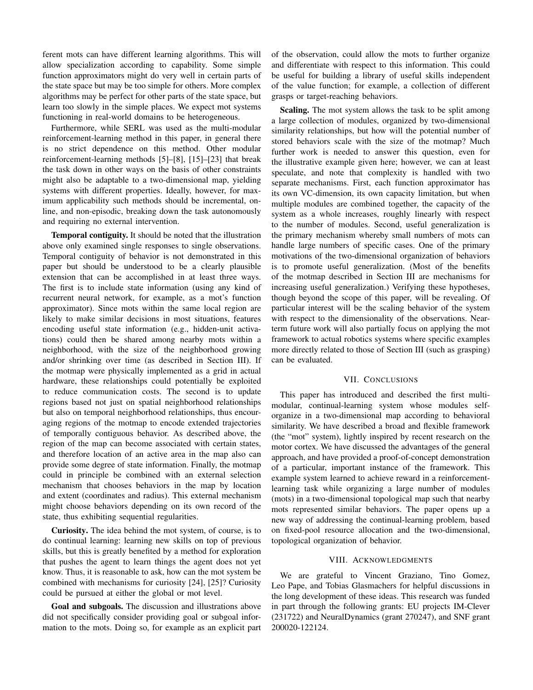ferent mots can have different learning algorithms. This will allow specialization according to capability. Some simple function approximators might do very well in certain parts of the state space but may be too simple for others. More complex algorithms may be perfect for other parts of the state space, but learn too slowly in the simple places. We expect mot systems functioning in real-world domains to be heterogeneous.

Furthermore, while SERL was used as the multi-modular reinforcement-learning method in this paper, in general there is no strict dependence on this method. Other modular reinforcement-learning methods [5]–[8], [15]–[23] that break the task down in other ways on the basis of other constraints might also be adaptable to a two-dimensional map, yielding systems with different properties. Ideally, however, for maximum applicability such methods should be incremental, online, and non-episodic, breaking down the task autonomously and requiring no external intervention.

Temporal contiguity. It should be noted that the illustration above only examined single responses to single observations. Temporal contiguity of behavior is not demonstrated in this paper but should be understood to be a clearly plausible extension that can be accomplished in at least three ways. The first is to include state information (using any kind of recurrent neural network, for example, as a mot's function approximator). Since mots within the same local region are likely to make similar decisions in most situations, features encoding useful state information (e.g., hidden-unit activations) could then be shared among nearby mots within a neighborhood, with the size of the neighborhood growing and/or shrinking over time (as described in Section III). If the motmap were physically implemented as a grid in actual hardware, these relationships could potentially be exploited to reduce communication costs. The second is to update regions based not just on spatial neighborhood relationships but also on temporal neighborhood relationships, thus encouraging regions of the motmap to encode extended trajectories of temporally contiguous behavior. As described above, the region of the map can become associated with certain states, and therefore location of an active area in the map also can provide some degree of state information. Finally, the motmap could in principle be combined with an external selection mechanism that chooses behaviors in the map by location and extent (coordinates and radius). This external mechanism might choose behaviors depending on its own record of the state, thus exhibiting sequential regularities.

Curiosity. The idea behind the mot system, of course, is to do continual learning: learning new skills on top of previous skills, but this is greatly benefited by a method for exploration that pushes the agent to learn things the agent does not yet know. Thus, it is reasonable to ask, how can the mot system be combined with mechanisms for curiosity [24], [25]? Curiosity could be pursued at either the global or mot level.

Goal and subgoals. The discussion and illustrations above did not specifically consider providing goal or subgoal information to the mots. Doing so, for example as an explicit part of the observation, could allow the mots to further organize and differentiate with respect to this information. This could be useful for building a library of useful skills independent of the value function; for example, a collection of different grasps or target-reaching behaviors.

Scaling. The mot system allows the task to be split among a large collection of modules, organized by two-dimensional similarity relationships, but how will the potential number of stored behaviors scale with the size of the motmap? Much further work is needed to answer this question, even for the illustrative example given here; however, we can at least speculate, and note that complexity is handled with two separate mechanisms. First, each function approximator has its own VC-dimension, its own capacity limitation, but when multiple modules are combined together, the capacity of the system as a whole increases, roughly linearly with respect to the number of modules. Second, useful generalization is the primary mechanism whereby small numbers of mots can handle large numbers of specific cases. One of the primary motivations of the two-dimensional organization of behaviors is to promote useful generalization. (Most of the benefits of the motmap described in Section III are mechanisms for increasing useful generalization.) Verifying these hypotheses, though beyond the scope of this paper, will be revealing. Of particular interest will be the scaling behavior of the system with respect to the dimensionality of the observations. Nearterm future work will also partially focus on applying the mot framework to actual robotics systems where specific examples more directly related to those of Section III (such as grasping) can be evaluated.

#### VII. CONCLUSIONS

This paper has introduced and described the first multimodular, continual-learning system whose modules selforganize in a two-dimensional map according to behavioral similarity. We have described a broad and flexible framework (the "mot" system), lightly inspired by recent research on the motor cortex. We have discussed the advantages of the general approach, and have provided a proof-of-concept demonstration of a particular, important instance of the framework. This example system learned to achieve reward in a reinforcementlearning task while organizing a large number of modules (mots) in a two-dimensional topological map such that nearby mots represented similar behaviors. The paper opens up a new way of addressing the continual-learning problem, based on fixed-pool resource allocation and the two-dimensional, topological organization of behavior.

# VIII. ACKNOWLEDGMENTS

We are grateful to Vincent Graziano, Tino Gomez, Leo Pape, and Tobias Glasmachers for helpful discussions in the long development of these ideas. This research was funded in part through the following grants: EU projects IM-Clever (231722) and NeuralDynamics (grant 270247), and SNF grant 200020-122124.